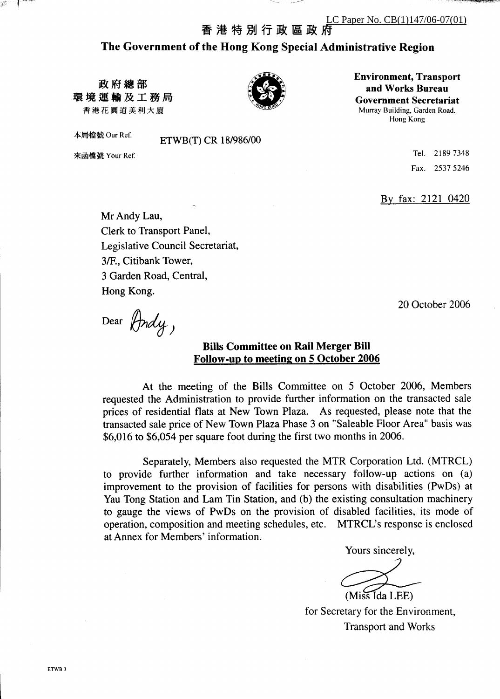**Environment, Transport** 

and Works Bureau

**Government Secretariat** 

Murray Building, Garden Road, Hong Kong

香 港 特 別 行 政 區 政 府

The Government of the Hong Kong Special Administrative Region

政府總部 環境運輸及工務局 香港花園道美利大廈

本局檔號 Our Ref.

來函檔號 Your Ref.

ETWB(T) CR 18/986/00

Tel. 2189 7348 Fax. 2537 5246

By fax: 2121 0420

20 October 2006

Mr Andy Lau, Clerk to Transport Panel, Legislative Council Secretariat, 3/F., Citibank Tower, 3 Garden Road, Central, Hong Kong.

Dear (Andy)

#### **Bills Committee on Rail Merger Bill** Follow-up to meeting on 5 October 2006

At the meeting of the Bills Committee on 5 October 2006, Members requested the Administration to provide further information on the transacted sale prices of residential flats at New Town Plaza. As requested, please note that the transacted sale price of New Town Plaza Phase 3 on "Saleable Floor Area" basis was \$6,016 to \$6,054 per square foot during the first two months in 2006.

Separately, Members also requested the MTR Corporation Ltd. (MTRCL) to provide further information and take necessary follow-up actions on (a) improvement to the provision of facilities for persons with disabilities (PwDs) at Yau Tong Station and Lam Tin Station, and (b) the existing consultation machinery to gauge the views of PwDs on the provision of disabled facilities, its mode of operation, composition and meeting schedules, etc. MTRCL's response is enclosed at Annex for Members' information.

Yours sincerely,

(Miss Ida LEE)

for Secretary for the Environment, **Transport and Works**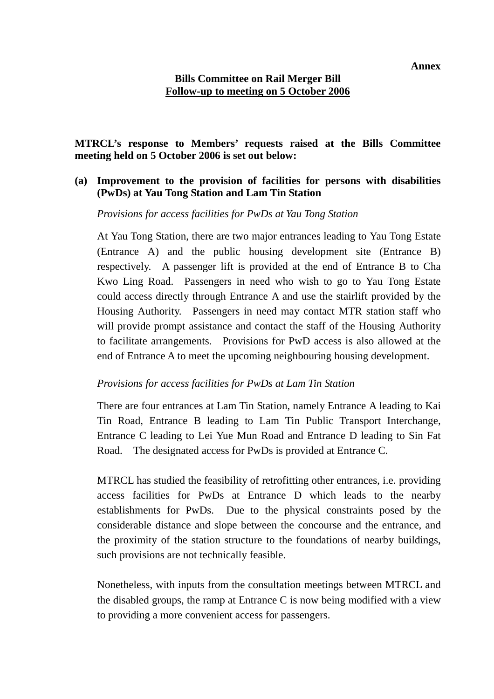### **Bills Committee on Rail Merger Bill Follow-up to meeting on 5 October 2006**

#### **MTRCL's response to Members' requests raised at the Bills Committee meeting held on 5 October 2006 is set out below:**

## **(a) Improvement to the provision of facilities for persons with disabilities (PwDs) at Yau Tong Station and Lam Tin Station**

*Provisions for access facilities for PwDs at Yau Tong Station* 

At Yau Tong Station, there are two major entrances leading to Yau Tong Estate (Entrance A) and the public housing development site (Entrance B) respectively. A passenger lift is provided at the end of Entrance B to Cha Kwo Ling Road. Passengers in need who wish to go to Yau Tong Estate could access directly through Entrance A and use the stairlift provided by the Housing Authority. Passengers in need may contact MTR station staff who will provide prompt assistance and contact the staff of the Housing Authority to facilitate arrangements. Provisions for PwD access is also allowed at the end of Entrance A to meet the upcoming neighbouring housing development.

#### *Provisions for access facilities for PwDs at Lam Tin Station*

There are four entrances at Lam Tin Station, namely Entrance A leading to Kai Tin Road, Entrance B leading to Lam Tin Public Transport Interchange, Entrance C leading to Lei Yue Mun Road and Entrance D leading to Sin Fat Road. The designated access for PwDs is provided at Entrance C.

MTRCL has studied the feasibility of retrofitting other entrances, i.e. providing access facilities for PwDs at Entrance D which leads to the nearby establishments for PwDs. Due to the physical constraints posed by the considerable distance and slope between the concourse and the entrance, and the proximity of the station structure to the foundations of nearby buildings, such provisions are not technically feasible.

Nonetheless, with inputs from the consultation meetings between MTRCL and the disabled groups, the ramp at Entrance C is now being modified with a view to providing a more convenient access for passengers.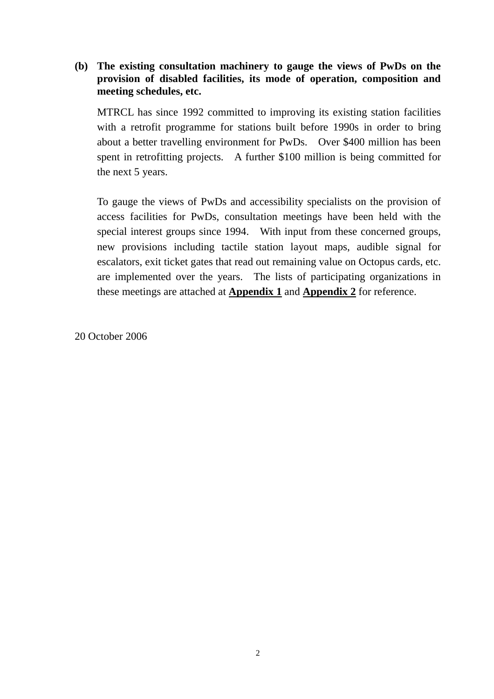# **(b) The existing consultation machinery to gauge the views of PwDs on the provision of disabled facilities, its mode of operation, composition and meeting schedules, etc.**

MTRCL has since 1992 committed to improving its existing station facilities with a retrofit programme for stations built before 1990s in order to bring about a better travelling environment for PwDs. Over \$400 million has been spent in retrofitting projects. A further \$100 million is being committed for the next 5 years.

To gauge the views of PwDs and accessibility specialists on the provision of access facilities for PwDs, consultation meetings have been held with the special interest groups since 1994. With input from these concerned groups, new provisions including tactile station layout maps, audible signal for escalators, exit ticket gates that read out remaining value on Octopus cards, etc. are implemented over the years. The lists of participating organizations in these meetings are attached at **Appendix 1** and **Appendix 2** for reference.

20 October 2006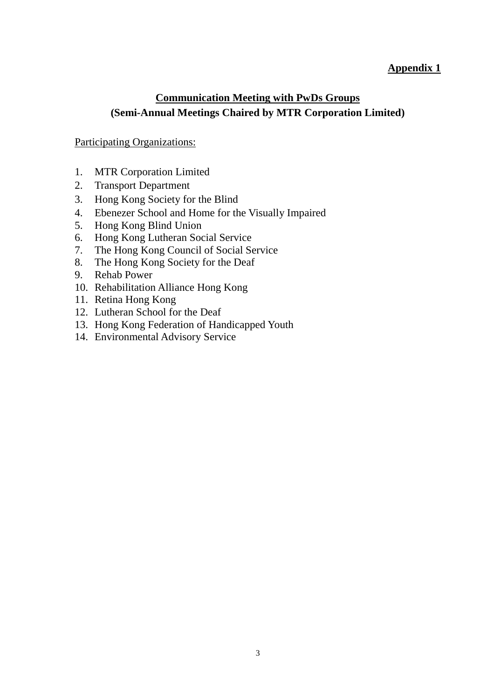# **Appendix 1**

# **Communication Meeting with PwDs Groups (Semi-Annual Meetings Chaired by MTR Corporation Limited)**

#### Participating Organizations:

- 1. MTR Corporation Limited
- 2. Transport Department
- 3. Hong Kong Society for the Blind
- 4. Ebenezer School and Home for the Visually Impaired
- 5. Hong Kong Blind Union
- 6. Hong Kong Lutheran Social Service
- 7. The Hong Kong Council of Social Service
- 8. The Hong Kong Society for the Deaf
- 9. Rehab Power
- 10. Rehabilitation Alliance Hong Kong
- 11. Retina Hong Kong
- 12. Lutheran School for the Deaf
- 13. Hong Kong Federation of Handicapped Youth
- 14. Environmental Advisory Service